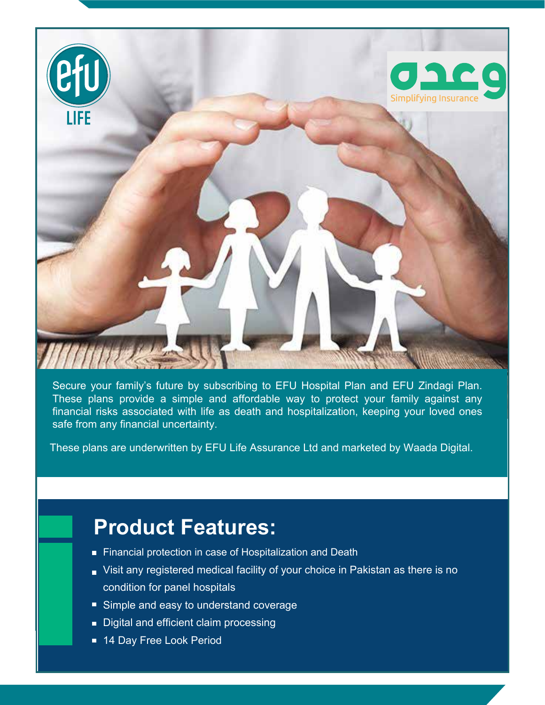

Secure your family's future by subscribing to EFU Hospital Plan and EFU Zindagi Plan. These plans provide a simple and affordable way to protect your family against any financial risks associated with life as death and hospitalization, keeping your loved ones safe from any financial uncertainty.

These plans are underwritten by EFU Life Assurance Ltd and marketed by Waada Digital.

# **Product Features:**

- **Financial protection in case of Hospitalization and Death**
- Visit any registered medical facility of your choice in Pakistan as there is no condition for panel hospitals
- Simple and easy to understand coverage
- Digital and efficient claim processing
- 14 Day Free Look Period